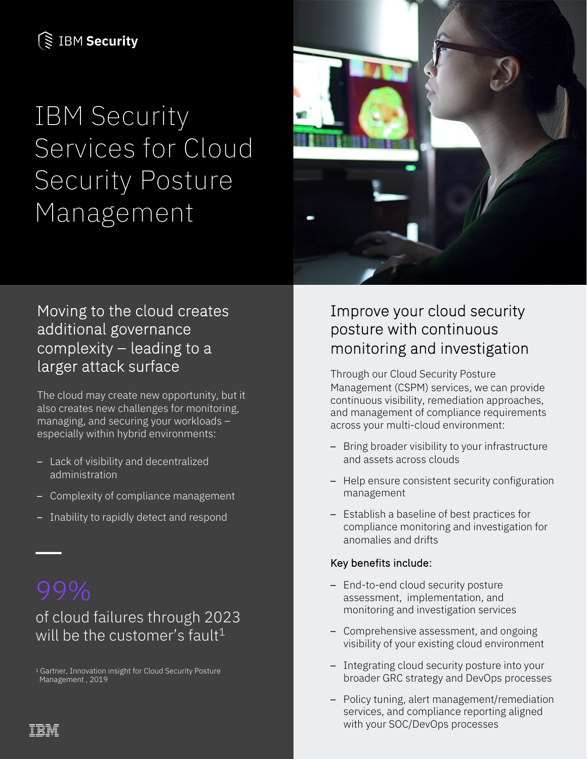## **S IBM Security**

## IBM Security Services for Cloud Security Posture Management



### Moving to the cloud creates additional governance complexity – leading to a larger attack surface

The cloud may create new opportunity, but it also creates new challenges for monitoring, managing, and securing your workloads – especially within hybrid environments:

- Lack of visibility and decentralized administration
- Complexity of compliance management
- Inability to rapidly detect and respond

of cloud failures through 2023 will be the customer's fault<sup>1</sup>

1 Gartner, Innovation insight for Cloud Security Posture Management , 2019

## Improve your cloud security posture with continuous monitoring and investigation

Through our Cloud Security Posture Management (CSPM) services, we can provide continuous visibility, remediation approaches, and management of compliance requirements across your multi-cloud environment:

- Bring broader visibility to your infrastructure and assets across clouds
- Help ensure consistent security configuration management
- Establish a baseline of best practices for compliance monitoring and investigation for anomalies and drifts

#### Key benefits include:

- End-to-end cloud security posture assessment, implementation, and monitoring and investigation services
- Comprehensive assessment, and ongoing visibility of your existing cloud environment
- Integrating cloud security posture into your broader GRC strategy and DevOps processes
- Policy tuning, alert management/remediation services, and compliance reporting aligned with your SOC/DevOps processes